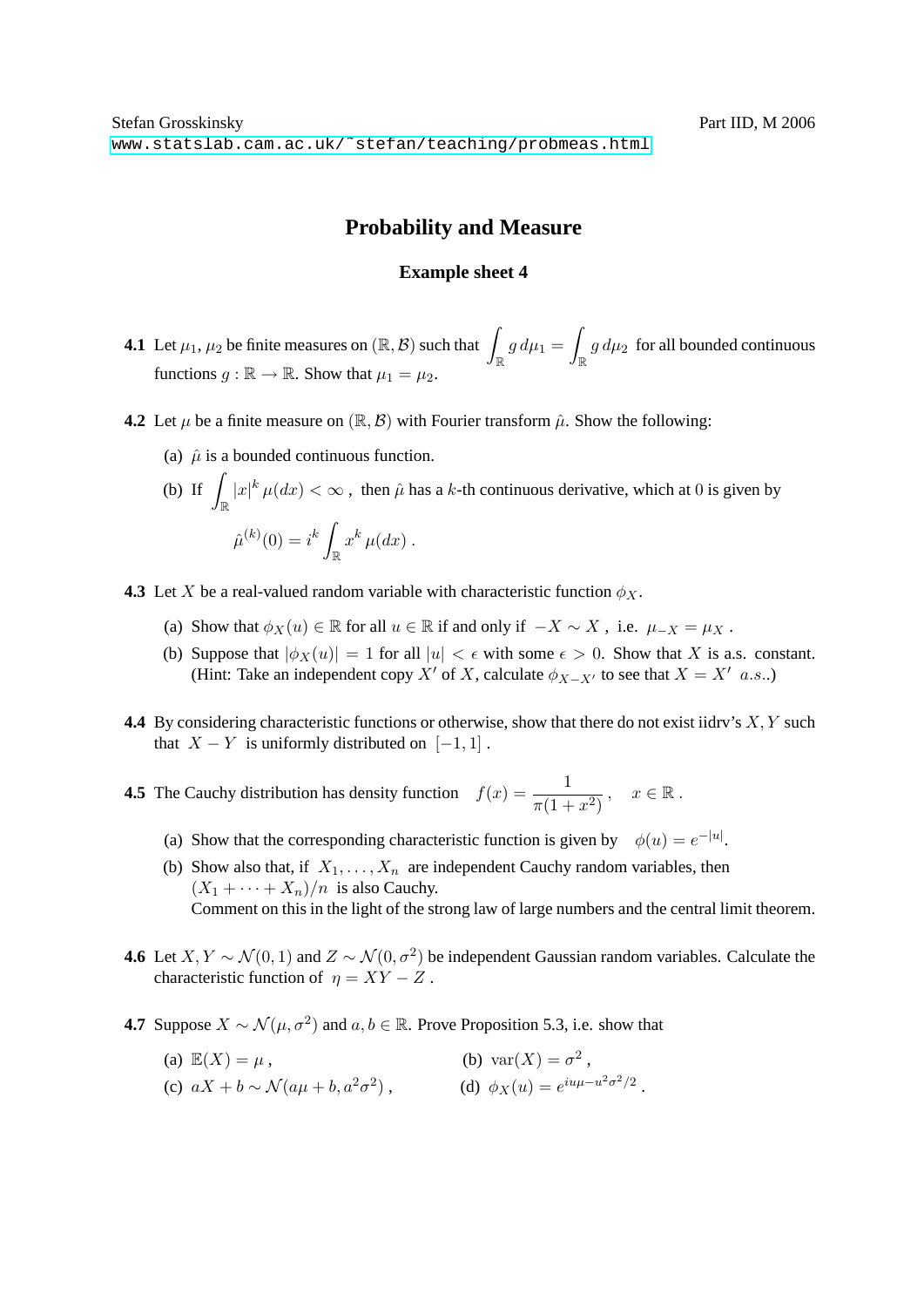## **Probability and Measure**

## **Example sheet 4**

- **4.1** Let  $\mu_1, \mu_2$  be finite measures on  $(\mathbb{R}, \mathcal{B})$  such that  $\int_{\mathbb{R}} g d\mu_1 = \int_{\mathbb{R}} g d\mu_2$  $\int_{\mathbb{R}} g d\mu_2$  for all bounded continuous functions  $g : \mathbb{R} \to \mathbb{R}$ . Show that  $\mu_1 = \mu_2$ .
- **4.2** Let  $\mu$  be a finite measure on  $(\mathbb{R}, \mathcal{B})$  with Fourier transform  $\hat{\mu}$ . Show the following:
	- (a)  $\hat{u}$  is a bounded continuous function.
	- (b) If  $\int_{\mathbb{R}} |x|^k \mu(dx) < \infty$ , then  $\hat{\mu}$  has a k-th continuous derivative, which at 0 is given by  $\hat{\mu}^{(k)}(0) = i^k$  $\int_{\mathbb{R}} x^k \, \mu(dx)$ .
- **4.3** Let X be a real-valued random variable with characteristic function  $\phi_X$ .
	- (a) Show that  $\phi_X(u) \in \mathbb{R}$  for all  $u \in \mathbb{R}$  if and only if  $-X \sim X$ , i.e.  $\mu_{-X} = \mu_X$ .
	- (b) Suppose that  $|\phi_X(u)| = 1$  for all  $|u| < \epsilon$  with some  $\epsilon > 0$ . Show that X is a.s. constant. (Hint: Take an independent copy X' of X, calculate  $\phi_{X-X'}$  to see that  $X = X'$  a.s..)
- **4.4** By considering characteristic functions or otherwise, show that there do not exist iidry's X, Y such that  $X - Y$  is uniformly distributed on [-1, 1].

**4.5** The Cauchy distribution has density function  $f(x) = \frac{1}{\pi(1+x^2)}$ ,  $x \in \mathbb{R}$ .

- (a) Show that the corresponding characteristic function is given by  $\phi(u) = e^{-|u|}$ .
- (b) Show also that, if  $X_1, \ldots, X_n$  are independent Cauchy random variables, then  $(X_1 + \cdots + X_n)/n$  is also Cauchy. Comment on this in the light of the strong law of large numbers and the central limit theorem.
- **4.6** Let  $X, Y \sim \mathcal{N}(0, 1)$  and  $Z \sim \mathcal{N}(0, \sigma^2)$  be independent Gaussian random variables. Calculate the characteristic function of  $\eta = XY - Z$ .
- **4.7** Suppose  $X \sim \mathcal{N}(\mu, \sigma^2)$  and  $a, b \in \mathbb{R}$ . Prove Proposition 5.3, i.e. show that
	- (a)  $\mathbb{E}(X) = \mu$ , (b)  $\text{var}(X) = \sigma^2$ , (c)  $aX + b \sim \mathcal{N}(a\mu + b, a^2\sigma^2)$ , (d)  $\phi_X(u) = e^{iu\mu - u^2\sigma^2/2}$ .